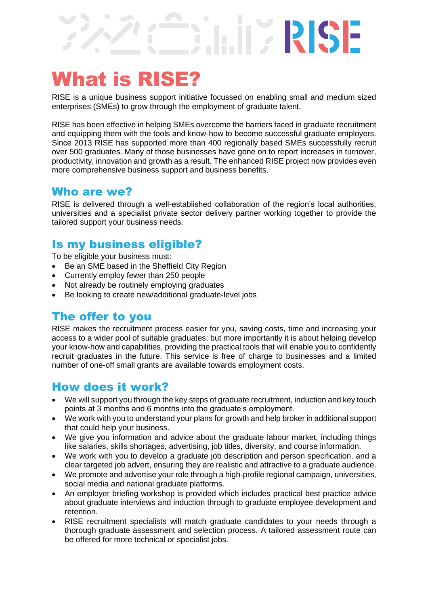# What is RISE?

RISE is a unique business support initiative focussed on enabling small and medium sized enterprises (SMEs) to grow through the employment of graduate talent.

RISE

RISE has been effective in helping SMEs overcome the barriers faced in graduate recruitment and equipping them with the tools and know-how to become successful graduate employers. Since 2013 RISE has supported more than 400 regionally based SMEs successfully recruit over 500 graduates. Many of those businesses have gone on to report increases in turnover, productivity, innovation and growth as a result. The enhanced RISE project now provides even more comprehensive business support and business benefits.

#### Who are we?

RISE is delivered through a well-established collaboration of the region's local authorities, universities and a specialist private sector delivery partner working together to provide the tailored support your business needs.

## Is my business eligible?

To be eligible your business must:

- Be an SME based in the Sheffield City Region
- Currently employ fewer than 250 people
- Not already be routinely employing graduates
- Be looking to create new/additional graduate-level jobs

#### The offer to you

RISE makes the recruitment process easier for you, saving costs, time and increasing your access to a wider pool of suitable graduates; but more importantly it is about helping develop your know-how and capabilities, providing the practical tools that will enable you to confidently recruit graduates in the future. This service is free of charge to businesses and a limited number of one-off small grants are available towards employment costs.

### How does it work?

- We will support you through the key steps of graduate recruitment, induction and key touch points at 3 months and 6 months into the graduate's employment.
- We work with you to understand your plans for growth and help broker in additional support that could help your business.
- We give you information and advice about the graduate labour market, including things like salaries, skills shortages, advertising, job titles, diversity, and course information.
- We work with you to develop a graduate job description and person specification, and a clear targeted job advert, ensuring they are realistic and attractive to a graduate audience.
- We promote and advertise your role through a high-profile regional campaign, universities, social media and national graduate platforms.
- An employer briefing workshop is provided which includes practical best practice advice about graduate interviews and induction through to graduate employee development and retention.
- RISE recruitment specialists will match graduate candidates to your needs through a thorough graduate assessment and selection process. A tailored assessment route can be offered for more technical or specialist jobs.